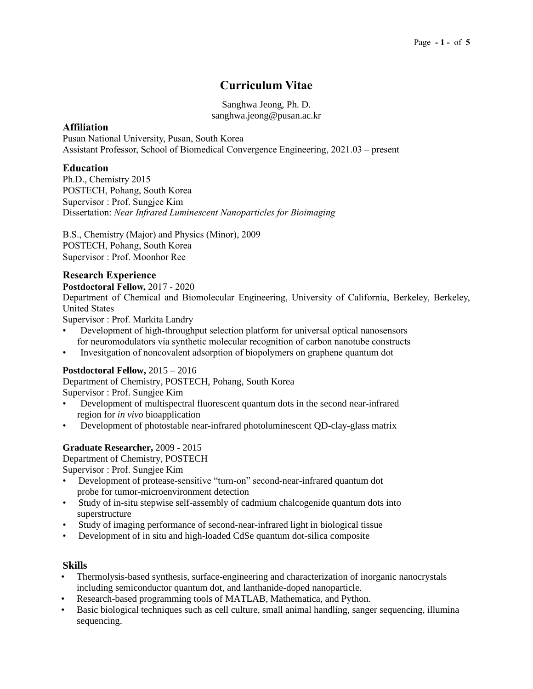# **Curriculum Vitae**

Sanghwa Jeong, Ph. D. sanghwa.jeong@pusan.ac.kr

## **Affiliation**

Pusan National University, Pusan, South Korea Assistant Professor, School of Biomedical Convergence Engineering, 2021.03 – present

## **Education**

Ph.D., Chemistry 2015 POSTECH, Pohang, South Korea Supervisor : Prof. Sungjee Kim Dissertation: *Near Infrared Luminescent Nanoparticles for Bioimaging*

B.S., Chemistry (Major) and Physics (Minor), 2009 POSTECH, Pohang, South Korea Supervisor : Prof. Moonhor Ree

# **Research Experience**

**Postdoctoral Fellow,** 2017 - 2020

Department of Chemical and Biomolecular Engineering, University of California, Berkeley, Berkeley, United States

Supervisor : Prof. Markita Landry

- Development of high-throughput selection platform for universal optical nanosensors for neuromodulators via synthetic molecular recognition of carbon nanotube constructs
- Invesitgation of noncovalent adsorption of biopolymers on graphene quantum dot

## **Postdoctoral Fellow,** 2015 – 2016

Department of Chemistry, POSTECH, Pohang, South Korea

Supervisor : Prof. Sungjee Kim

- Development of multispectral fluorescent quantum dots in the second near-infrared region for *in vivo* bioapplication
- Development of photostable near-infrared photoluminescent QD-clay-glass matrix

## **Graduate Researcher,** 2009 - 2015

Department of Chemistry, POSTECH

Supervisor : Prof. Sungjee Kim

- Development of protease-sensitive "turn-on" second-near-infrared quantum dot probe for tumor-microenvironment detection
- Study of in-situ stepwise self-assembly of cadmium chalcogenide quantum dots into superstructure
- Study of imaging performance of second-near-infrared light in biological tissue
- Development of in situ and high-loaded CdSe quantum dot-silica composite

## **Skills**

- Thermolysis-based synthesis, surface-engineering and characterization of inorganic nanocrystals including semiconductor quantum dot, and lanthanide-doped nanoparticle.
- Research-based programming tools of MATLAB, Mathematica, and Python.
- Basic biological techniques such as cell culture, small animal handling, sanger sequencing, illumina sequencing.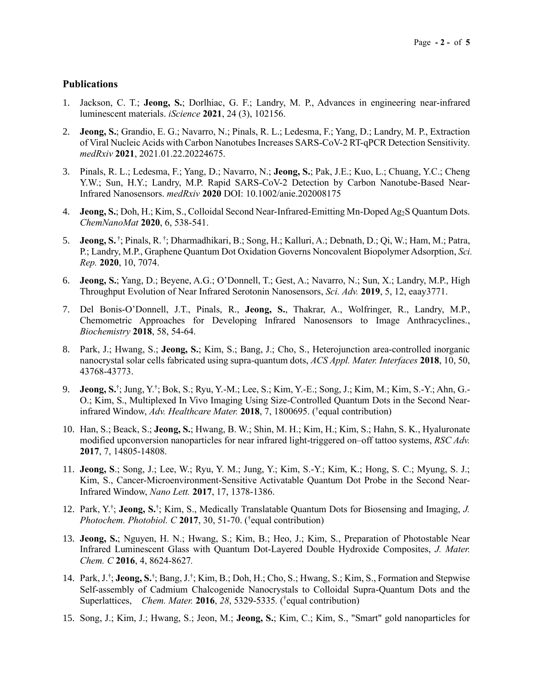#### **Publications**

- 1. Jackson, C. T.; **Jeong, S.**; Dorlhiac, G. F.; Landry, M. P., Advances in engineering near-infrared luminescent materials. *iScience* **2021**, 24 (3), 102156.
- 2. **Jeong, S.**; Grandio, E. G.; Navarro, N.; Pinals, R. L.; Ledesma, F.; Yang, D.; Landry, M. P., Extraction of Viral Nucleic Acids with Carbon Nanotubes Increases SARS-CoV-2 RT-qPCR Detection Sensitivity. *medRxiv* **2021**, 2021.01.22.20224675.
- 3. Pinals, R. L.; Ledesma, F.; Yang, D.; Navarro, N.; **Jeong, S.**; Pak, J.E.; Kuo, L.; Chuang, Y.C.; Cheng Y.W.; Sun, H.Y.; Landry, M.P. Rapid SARS-CoV-2 Detection by Carbon Nanotube-Based Near-Infrared Nanosensors. *medRxiv* **2020** DOI: 10.1002/anie.202008175
- 4. **Jeong, S.**; Doh, H.; Kim, S., Colloidal Second Near-Infrared-Emitting Mn-Doped Ag2S Quantum Dots. *ChemNanoMat* **2020**, 6, 538-541.
- 5. **Jeong, S.** † ; Pinals, R. † ; Dharmadhikari, B.; Song, H.; Kalluri, A.; Debnath, D.; Qi, W.; Ham, M.; Patra, P.; Landry, M.P., Graphene Quantum Dot Oxidation Governs Noncovalent Biopolymer Adsorption, *Sci. Rep.* **2020**, 10, 7074.
- 6. **Jeong, S.**; Yang, D.; Beyene, A.G.; O'Donnell, T.; Gest, A.; Navarro, N.; Sun, X.; Landry, M.P., High Throughput Evolution of Near Infrared Serotonin Nanosensors, *Sci. Adv.* **2019**, 5, 12, eaay3771.
- 7. Del Bonis-O'Donnell, J.T., Pinals, R., **Jeong, S.**, Thakrar, A., Wolfringer, R., Landry, M.P., Chemometric Approaches for Developing Infrared Nanosensors to Image Anthracyclines., *Biochemistry* **2018**, 58, 54-64.
- 8. Park, J.; Hwang, S.; **Jeong, S.**; Kim, S.; Bang, J.; Cho, S., Heterojunction area-controlled inorganic nanocrystal solar cells fabricated using supra-quantum dots, *ACS Appl. Mater. Interfaces* **2018**, 10, 50, 43768-43773.
- 9. **Jeong, S.**† ; Jung, Y.† ; Bok, S.; Ryu, Y.-M.; Lee, S.; Kim, Y.-E.; Song, J.; Kim, M.; Kim, S.-Y.; Ahn, G.- O.; Kim, S., Multiplexed In Vivo Imaging Using Size-Controlled Quantum Dots in the Second Nearinfrared Window, *Adv. Healthcare Mater.* **2018**, 7, 1800695. ( † equal contribution)
- 10. Han, S.; Beack, S.; **Jeong, S.**; Hwang, B. W.; Shin, M. H.; Kim, H.; Kim, S.; Hahn, S. K., Hyaluronate modified upconversion nanoparticles for near infrared light-triggered on–off tattoo systems, *RSC Adv.* **2017**, 7, 14805-14808.
- 11. **Jeong, S**.; Song, J.; Lee, W.; Ryu, Y. M.; Jung, Y.; Kim, S.-Y.; Kim, K.; Hong, S. C.; Myung, S. J.; Kim, S., Cancer-Microenvironment-Sensitive Activatable Quantum Dot Probe in the Second Near-Infrared Window, *Nano Lett.* **2017**, 17, 1378-1386.
- 12. Park, Y.<sup>†</sup>; Jeong, S.<sup>†</sup>; Kim, S., Medically Translatable Quantum Dots for Biosensing and Imaging, J. *Photochem. Photobiol. C* **2017**, 30, 51-70. († equal contribution)
- 13. **Jeong, S.**; Nguyen, H. N.; Hwang, S.; Kim, B.; Heo, J.; Kim, S., Preparation of Photostable Near Infrared Luminescent Glass with Quantum Dot-Layered Double Hydroxide Composites, *J. Mater. Chem. C* **2016**, 4, 8624-8627*.*
- 14. Park, J.<sup>†</sup>; Jeong, S.<sup>†</sup>; Bang, J.<sup>†</sup>; Kim, B.; Doh, H.; Cho, S.; Hwang, S.; Kim, S., Formation and Stepwise Self-assembly of Cadmium Chalcogenide Nanocrystals to Colloidal Supra-Quantum Dots and the Superlattices, *Chem. Mater.* **2016**, *28*, 5329-5335*.* ( † equal contribution)
- 15. Song, J.; Kim, J.; Hwang, S.; Jeon, M.; **Jeong, S.**; Kim, C.; Kim, S., "Smart" gold nanoparticles for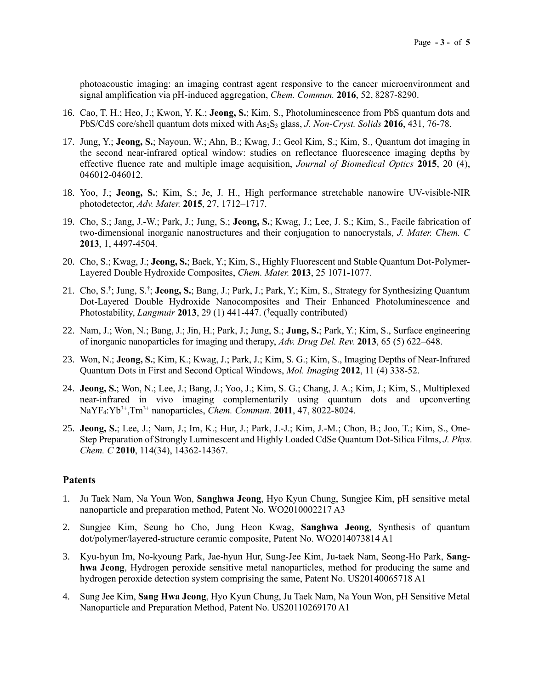photoacoustic imaging: an imaging contrast agent responsive to the cancer microenvironment and signal amplification via pH-induced aggregation, *Chem. Commun.* **2016**, 52, 8287-8290.

- 16. Cao, T. H.; Heo, J.; Kwon, Y. K.; **Jeong, S.**; Kim, S., Photoluminescence from PbS quantum dots and PbS/CdS core/shell quantum dots mixed with As2S<sup>3</sup> glass, *J. Non-Cryst. Solids* **2016**, 431, 76-78.
- 17. Jung, Y.; **Jeong, S.**; Nayoun, W.; Ahn, B.; Kwag, J.; Geol Kim, S.; Kim, S., Quantum dot imaging in the second near-infrared optical window: studies on reflectance fluorescence imaging depths by effective fluence rate and multiple image acquisition, *Journal of Biomedical Optics* **2015**, 20 (4), 046012-046012.
- 18. Yoo, J.; **Jeong, S.**; Kim, S.; Je, J. H., High performance stretchable nanowire UV-visible-NIR photodetector, *Adv. Mater.* **2015**, 27, 1712–1717.
- 19. Cho, S.; Jang, J.-W.; Park, J.; Jung, S.; **Jeong, S.**; Kwag, J.; Lee, J. S.; Kim, S., Facile fabrication of two-dimensional inorganic nanostructures and their conjugation to nanocrystals, *J. Mater. Chem. C* **2013**, 1, 4497-4504.
- 20. Cho, S.; Kwag, J.; **Jeong, S.**; Baek, Y.; Kim, S., Highly Fluorescent and Stable Quantum Dot-Polymer-Layered Double Hydroxide Composites, *Chem. Mater.* **2013**, 25 1071-1077.
- 21. Cho, S.<sup>†</sup>; Jung, S.<sup>†</sup>; Jeong, S.; Bang, J.; Park, J.; Park, Y.; Kim, S., Strategy for Synthesizing Quantum Dot-Layered Double Hydroxide Nanocomposites and Their Enhanced Photoluminescence and Photostability, *Langmuir* 2013, 29 (1) 441-447. (<sup>†</sup>equally contributed)
- 22. Nam, J.; Won, N.; Bang, J.; Jin, H.; Park, J.; Jung, S.; **Jung, S.**; Park, Y.; Kim, S., Surface engineering of inorganic nanoparticles for imaging and therapy, *Adv. Drug Del. Rev.* **2013**, 65 (5) 622–648.
- 23. Won, N.; **Jeong, S.**; Kim, K.; Kwag, J.; Park, J.; Kim, S. G.; Kim, S., Imaging Depths of Near-Infrared Quantum Dots in First and Second Optical Windows, *Mol. Imaging* **2012**, 11 (4) 338-52.
- 24. **Jeong, S.**; Won, N.; Lee, J.; Bang, J.; Yoo, J.; Kim, S. G.; Chang, J. A.; Kim, J.; Kim, S., Multiplexed near-infrared in vivo imaging complementarily using quantum dots and upconverting NaYF4:Yb3+,Tm3+ nanoparticles, *Chem. Commun.* **2011**, 47, 8022-8024.
- 25. **Jeong, S.**; Lee, J.; Nam, J.; Im, K.; Hur, J.; Park, J.-J.; Kim, J.-M.; Chon, B.; Joo, T.; Kim, S., One-Step Preparation of Strongly Luminescent and Highly Loaded CdSe Quantum Dot-Silica Films, *J. Phys. Chem. C* **2010**, 114(34), 14362-14367.

#### **Patents**

- 1. Ju Taek Nam, Na Youn Won, **Sanghwa Jeong**, Hyo Kyun Chung, Sungjee Kim, pH sensitive metal nanoparticle and preparation method, Patent No. WO2010002217 A3
- 2. Sungjee Kim, Seung ho Cho, Jung Heon Kwag, **Sanghwa Jeong**, Synthesis of quantum dot/polymer/layered-structure ceramic composite, Patent No. WO2014073814 A1
- 3. Kyu-hyun Im, No-kyoung Park, Jae-hyun Hur, Sung-Jee Kim, Ju-taek Nam, Seong-Ho Park, **Sanghwa Jeong**, Hydrogen peroxide sensitive metal nanoparticles, method for producing the same and hydrogen peroxide detection system comprising the same, Patent No. US20140065718 A1
- 4. Sung Jee Kim, **Sang Hwa Jeong**, Hyo Kyun Chung, Ju Taek Nam, Na Youn Won, pH Sensitive Metal Nanoparticle and Preparation Method, Patent No. US20110269170 A1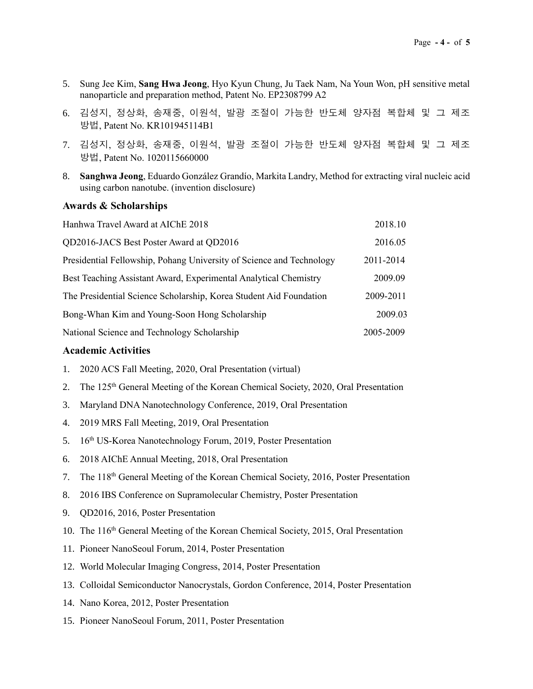- 5. Sung Jee Kim, **Sang Hwa Jeong**, Hyo Kyun Chung, Ju Taek Nam, Na Youn Won, pH sensitive metal nanoparticle and preparation method, Patent No. EP2308799 A2
- 6. 김성지, 정상화, 송재중, 이원석, 발광 조절이 가능한 반도체 양자점 복합체 및 그 제조 방법, Patent No. KR101945114B1
- 7. 김성지, 정상화, 송재중, 이원석, 발광 조절이 가능한 반도체 양자점 복합체 및 그 제조 방법, Patent No. 1020115660000
- 8. **Sanghwa Jeong**, Eduardo González Grandío, Markita Landry, Method for extracting viral nucleic acid using carbon nanotube. (invention disclosure)

#### **Awards & Scholarships**

| Hanhwa Travel Award at AIChE 2018                                    | 2018.10   |
|----------------------------------------------------------------------|-----------|
| QD2016-JACS Best Poster Award at QD2016                              | 2016.05   |
| Presidential Fellowship, Pohang University of Science and Technology | 2011-2014 |
| Best Teaching Assistant Award, Experimental Analytical Chemistry     | 2009.09   |
| The Presidential Science Scholarship, Korea Student Aid Foundation   | 2009-2011 |
| Bong-Whan Kim and Young-Soon Hong Scholarship                        | 2009.03   |
| National Science and Technology Scholarship                          | 2005-2009 |

#### **Academic Activities**

- 1. 2020 ACS Fall Meeting, 2020, Oral Presentation (virtual)
- 2. The 125th General Meeting of the Korean Chemical Society, 2020, Oral Presentation
- 3. Maryland DNA Nanotechnology Conference, 2019, Oral Presentation
- 4. 2019 MRS Fall Meeting, 2019, Oral Presentation
- 5. 16th US-Korea Nanotechnology Forum, 2019, Poster Presentation
- 6. 2018 AIChE Annual Meeting, 2018, Oral Presentation
- 7. The  $118<sup>th</sup>$  General Meeting of the Korean Chemical Society, 2016, Poster Presentation
- 8. 2016 IBS Conference on Supramolecular Chemistry, Poster Presentation
- 9. QD2016, 2016, Poster Presentation
- 10. The 116th General Meeting of the Korean Chemical Society, 2015, Oral Presentation
- 11. Pioneer NanoSeoul Forum, 2014, Poster Presentation
- 12. World Molecular Imaging Congress, 2014, Poster Presentation
- 13. Colloidal Semiconductor Nanocrystals, Gordon Conference, 2014, Poster Presentation
- 14. Nano Korea, 2012, Poster Presentation
- 15. Pioneer NanoSeoul Forum, 2011, Poster Presentation